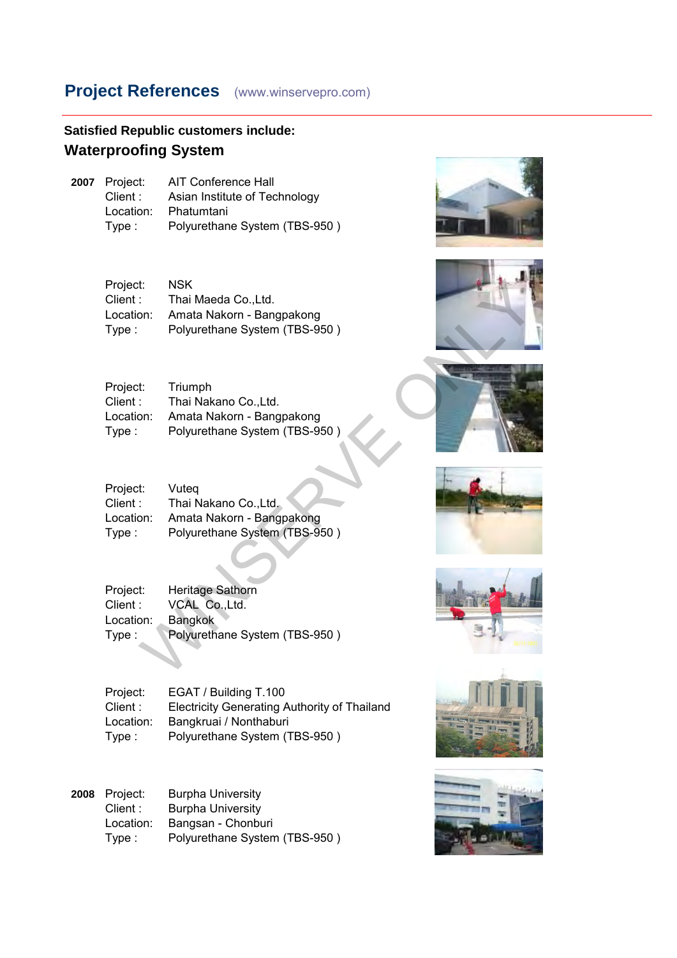## **Satisfied Republic customers include: Waterproofing System**

| 2007 Project: | AIT Conference Hall           |
|---------------|-------------------------------|
| Client:       | Asian Institute of Technology |
| Location:     | Phatumtani                    |
| Type :        | Polyurethane System (TBS-950) |

| Project:  | NSK                           |
|-----------|-------------------------------|
| Client:   | Thai Maeda Co., Ltd.          |
| Location: | Amata Nakorn - Bangpakong     |
| Type:     | Polyurethane System (TBS-950) |
|           |                               |

| Triumph                       |
|-------------------------------|
| Thai Nakano Co., Ltd.         |
| Amata Nakorn - Bangpakong     |
| Polyurethane System (TBS-950) |
|                               |

| Project:<br>Client:<br>Location:<br>Type : | <b>NSK</b><br>Thai Maeda Co., Ltd.<br>Amata Nakorn - Bangpakong<br>Polyurethane System (TBS-950) |  |
|--------------------------------------------|--------------------------------------------------------------------------------------------------|--|
| Project:<br>Client:<br>Location:<br>Type:  | Triumph<br>Thai Nakano Co., Ltd.<br>Amata Nakorn - Bangpakong<br>Polyurethane System (TBS-950)   |  |
| Project:<br>Client :<br>Location:<br>Type: | Vuteq<br>Thai Nakano Co., Ltd.<br>Amata Nakorn - Bangpakong<br>Polyurethane System (TBS-950)     |  |
| Project:<br>Client:<br>Location:<br>Type:  | <b>Heritage Sathorn</b><br>VCAL Co., Ltd.<br><b>Bangkok</b><br>Polyurethane System (TBS-950)     |  |
|                                            |                                                                                                  |  |

| Project:  | Heritage Sathorn              |
|-----------|-------------------------------|
| Client :  | VCAL Co., Ltd.                |
| Location: | <b>Bangkok</b>                |
| Type :    | Polyurethane System (TBS-950) |

Project: EGAT / Building T.100 Client : Electricity Generating Authority of Thailand Location: Bangkruai / Nonthaburi<br>Type : Polyurethane System (T Polyurethane System (TBS-950)

| <b>2008</b> Project: | <b>Burpha University</b>      |
|----------------------|-------------------------------|
| Client :             | <b>Burpha University</b>      |
| Location:            | Bangsan - Chonburi            |
| Type:                | Polyurethane System (TBS-950) |
|                      |                               |













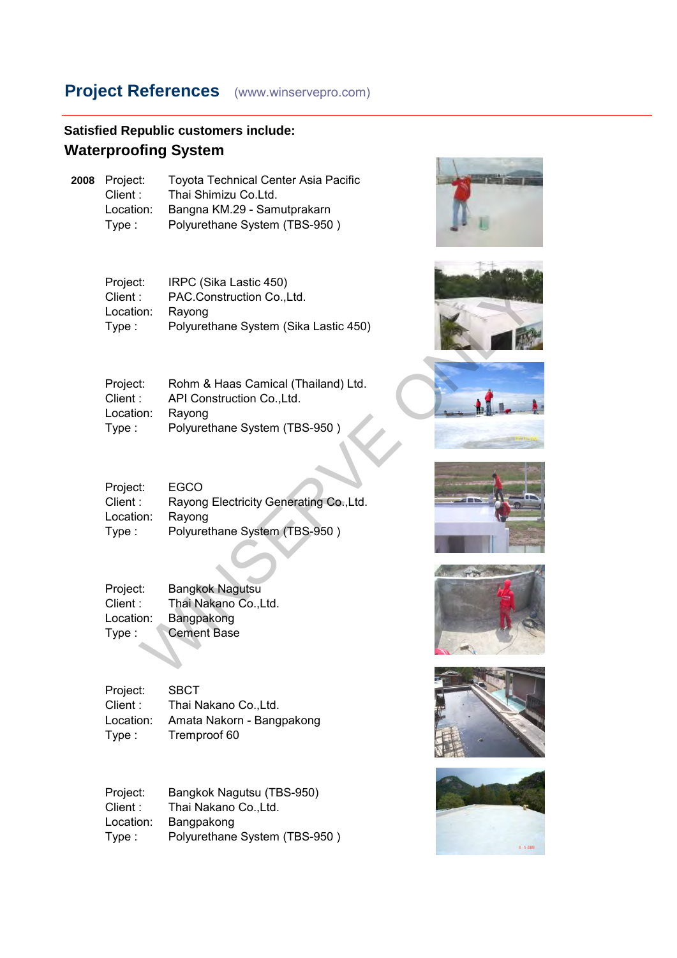## **Satisfied Republic customers include: Waterproofing System**

**2008** Project: Toyota Technical Center Asia Pacific Client : Thai Shimizu Co.Ltd.<br>Location: Bangna KM.29 - Sam Location: Bangna KM.29 - Samutprakarn Type : Polyurethane System (TBS-950 )

| Project:  | IRPC (Sika Lastic 450)                |
|-----------|---------------------------------------|
| Client :  | PAC.Construction Co., Ltd.            |
| Location: | Ravong                                |
| Type:     | Polyurethane System (Sika Lastic 450) |
|           |                                       |

| Rohm & Haas Camical (Thailand) Ltd. |
|-------------------------------------|
| API Construction Co., Ltd.          |
| Ravong                              |
| Polyurethane System (TBS-950)       |
|                                     |

| Project:<br>Client:<br>Location:<br>Type: | IRPC (Sika Lastic 450)<br>PAC.Construction Co., Ltd.<br>Rayong<br>Polyurethane System (Sika Lastic 450)      |  |
|-------------------------------------------|--------------------------------------------------------------------------------------------------------------|--|
| Project:<br>Client:<br>Location:<br>Type: | Rohm & Haas Camical (Thailand) Ltd.<br>API Construction Co., Ltd.<br>Rayong<br>Polyurethane System (TBS-950) |  |
| Project:<br>Client:<br>Location:<br>Type: | <b>EGCO</b><br>Rayong Electricity Generating Co., Ltd.<br>Rayong<br>Polyurethane System (TBS-950)            |  |
| Project:<br>Client:<br>Location:<br>Type: | <b>Bangkok Nagutsu</b><br>Thai Nakano Co., Ltd.<br>Bangpakong<br><b>Cement Base</b>                          |  |
|                                           |                                                                                                              |  |

| Project:  | <b>Bangkok Nagutsu</b> |
|-----------|------------------------|
| Client :  | Thai Nakano Co., Ltd.  |
| Location: | Bangpakong             |
| Type :    | <b>Cement Base</b>     |
|           |                        |

| Project:   | <b>SBCT</b>               |
|------------|---------------------------|
| Client : . | Thai Nakano Co., Ltd.     |
| Location:  | Amata Nakorn - Bangpakong |
| Type :     | Tremproof 60              |

| Project:  | Bangkok Nagutsu (TBS-950)     |
|-----------|-------------------------------|
| Client :  | Thai Nakano Co., Ltd.         |
| Location: | Bangpakong                    |
| Type:     | Polyurethane System (TBS-950) |













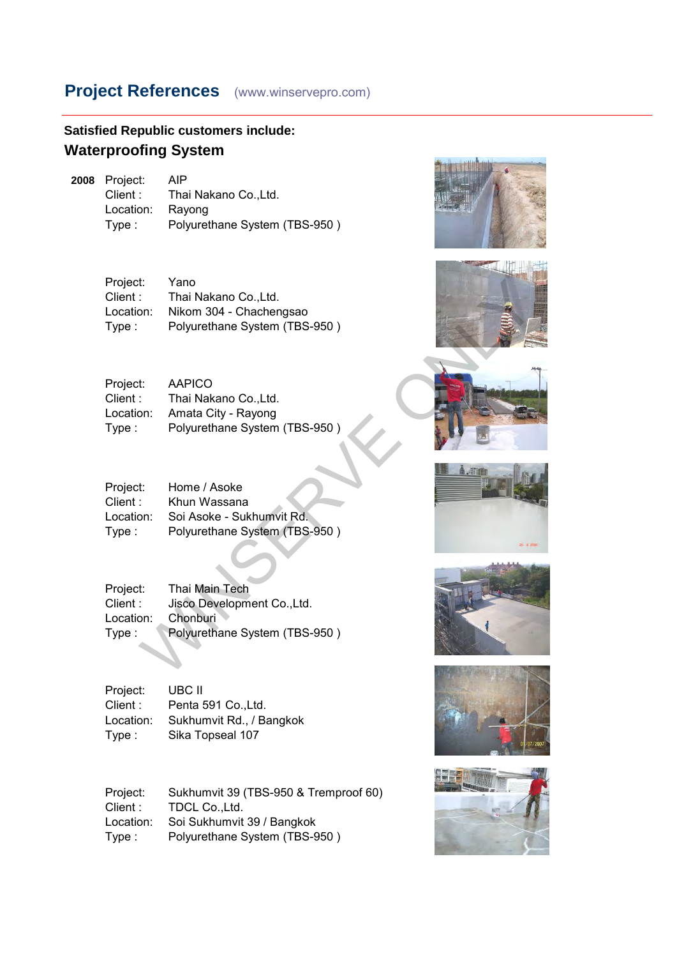**Satisfied Republic customers include: Waterproofing System**

**2008** Project: AIP Client : Thai Nakano Co., Ltd. Location: Rayong Type : Polyurethane System (TBS-950 )

> Project: Yano Client : Thai Nakano Co., Ltd. Location: Nikom 304 - Chachengsao Type : Polyurethane System (TBS-950 )

| Project:  | AAPICO                        |
|-----------|-------------------------------|
| Client :  | Thai Nakano Co., Ltd.         |
| Location: | Amata City - Rayong           |
| Type :    | Polyurethane System (TBS-950) |

| Project:<br>Client:<br>Location:<br>Type : | Yano<br>Thai Nakano Co., Ltd.<br>Nikom 304 - Chachengsao<br>Polyurethane System (TBS-950)      |       |
|--------------------------------------------|------------------------------------------------------------------------------------------------|-------|
| Project:<br>Client :<br>Location:<br>Type: | <b>AAPICO</b><br>Thai Nakano Co., Ltd.<br>Amata City - Rayong<br>Polyurethane System (TBS-950) |       |
| Project:<br>Client:<br>Location:<br>Type:  | Home / Asoke<br>Khun Wassana<br>Soi Asoke - Sukhumvit Rd.<br>Polyurethane System (TBS-950)     | A Jim |
| Project:<br>Client:<br>Location:<br>Type:  | Thai Main Tech<br>Jisco Development Co., Ltd.<br>Chonburi<br>Polyurethane System (TBS-950)     |       |

| Project:  | Thai Main Tech                |
|-----------|-------------------------------|
| Client:   | Jisco Development Co., Ltd.   |
| Location: | Chonburi                      |
| Type:     | Polyurethane System (TBS-950) |
|           |                               |

Project: UBC II Client : Penta 591 Co., Ltd. Location: Sukhumvit Rd., / Bangkok Type : Sika Topseal 107

Project: Sukhumvit 39 (TBS-950 & Tremproof 60)<br>Client: TDCL Co.,Ltd. TDCL Co.,Ltd. Location: Soi Sukhumvit 39 / Bangkok Type : Polyurethane System (TBS-950 )













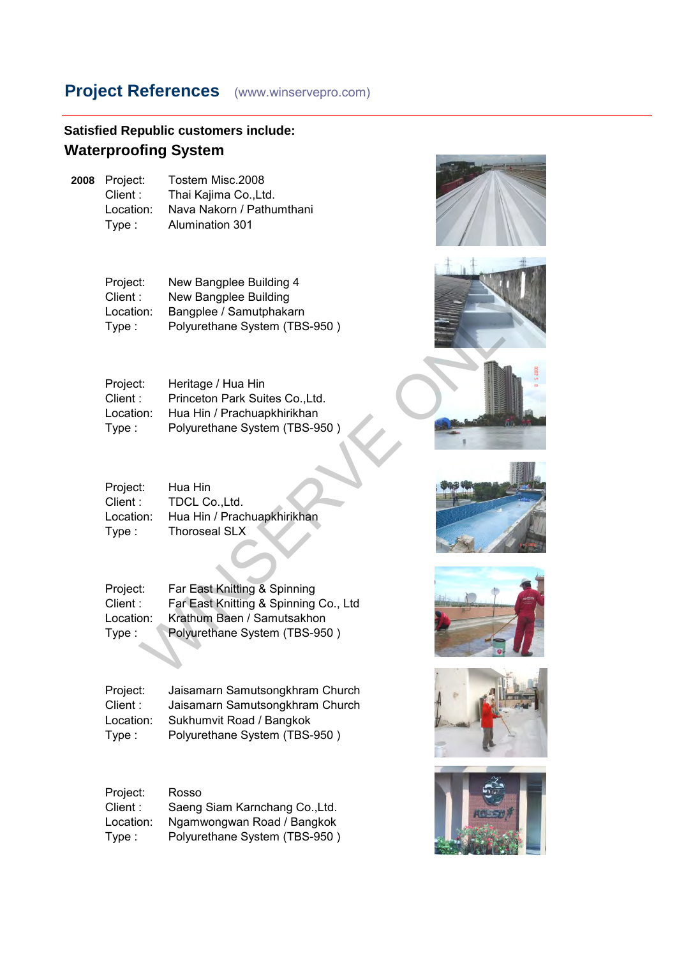#### **Satisfied Republic customers include: Waterproofing System**

**2008** Project: Tostem Misc.2008<br>Client: Thai Kaiima Co.,Ltd Client : Thai Kajima Co., Ltd.<br>Location: Nava Nakorn / Pathu Nava Nakorn / Pathumthani Type : Alumination 301

| Project:  | New Bangplee Building 4       |
|-----------|-------------------------------|
| Client :  | New Bangplee Building         |
| Location: | Bangplee / Samutphakarn       |
| Type:     | Polyurethane System (TBS-950) |
|           |                               |

| Project:  | Heritage / Hua Hin              |
|-----------|---------------------------------|
| Client :  | Princeton Park Suites Co., Ltd. |
| Location: | Hua Hin / Prachuapkhirikhan     |
| Type :    | Polyurethane System (TBS-950)   |

| Hua Hin                     |
|-----------------------------|
| TDCL Co., Ltd.              |
| Hua Hin / Prachuapkhirikhan |
| <b>Thoroseal SLX</b>        |
|                             |

| Project:  | Far East Knitting & Spinning          |
|-----------|---------------------------------------|
| Client :  | Far East Knitting & Spinning Co., Ltd |
| Location: | Krathum Baen / Samutsakhon            |
| Type:     | Polyurethane System (TBS-950)         |
|           |                                       |

Project: Jaisamarn Samutsongkhram Church<br>Client: Jaisamarn Samutsongkhram Church Client : Jaisamarn Samutsongkhram Church<br>Location: Sukhumvit Road / Bangkok Sukhumvit Road / Bangkok Type : Polyurethane System (TBS-950 )

| Project:  | Rosso                          |
|-----------|--------------------------------|
| Client :  | Saeng Siam Karnchang Co., Ltd. |
| Location: | Ngamwongwan Road / Bangkok     |
| Type:     | Polyurethane System (TBS-950)  |



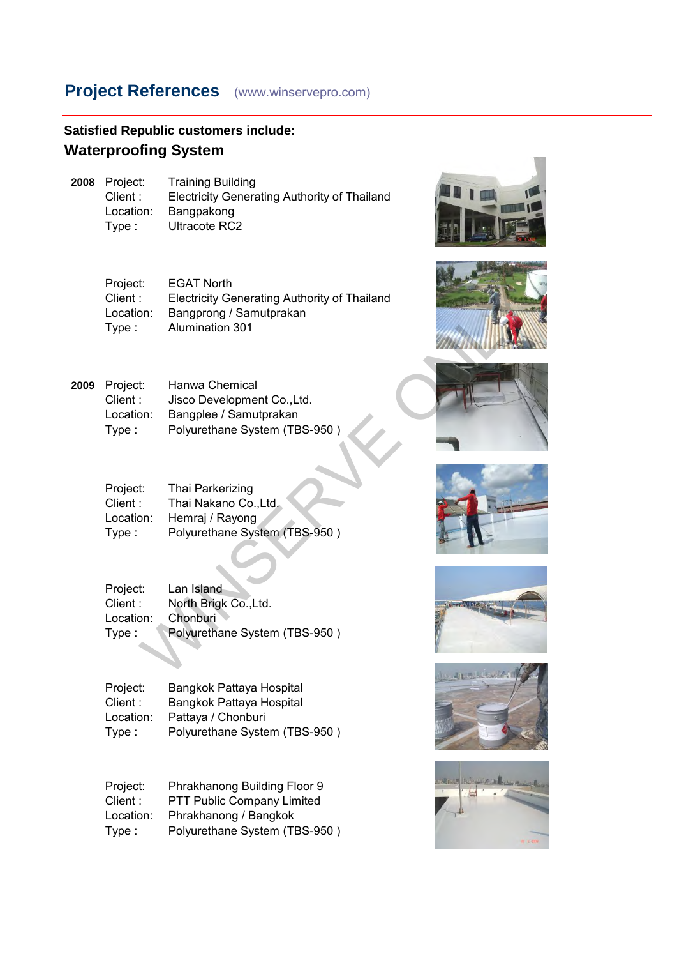### **Satisfied Republic customers include: Waterproofing System**

| 2008 Project: | <b>Training Building</b>                            |
|---------------|-----------------------------------------------------|
| Client :      | <b>Electricity Generating Authority of Thailand</b> |
| Location:     | Bangpakong                                          |
| Type :        | Ultracote RC2                                       |

| Project:<br>Client:<br>Location:<br>Type: | <b>EGAT North</b><br><b>Electricity Generating Authority of Thailand</b><br>Bangprong / Samutprakan<br><b>Alumination 301</b> |             |
|-------------------------------------------|-------------------------------------------------------------------------------------------------------------------------------|-------------|
| Project:<br>Client:<br>Location:<br>Type: | Hanwa Chemical<br>Jisco Development Co., Ltd.<br>Bangplee / Samutprakan<br>Polyurethane System (TBS-950)                      |             |
| Project:<br>Client:<br>Location:<br>Type: | Thai Parkerizing<br>Thai Nakano Co., Ltd.<br>Hemraj / Rayong<br>Polyurethane System (TBS-950)                                 |             |
| Project:<br>Client:<br>Location:<br>Type: | Lan Island<br>North Brigk Co., Ltd.<br>Chonburi<br>Polyurethane System (TBS-950)                                              | ANE MILLION |





| 2009 Project: | Hanwa Chemical                |
|---------------|-------------------------------|
| Client :      | Jisco Development Co., Ltd.   |
| Location:     | Bangplee / Samutprakan        |
| Type :        | Polyurethane System (TBS-950) |

| Project:  | Thai Parkerizing              |
|-----------|-------------------------------|
| Client :  | Thai Nakano Co., Ltd.         |
| Location: | Hemraj / Rayong               |
| Type :    | Polyurethane System (TBS-950) |
|           |                               |

| Project:  | Lan Island                    |
|-----------|-------------------------------|
| Client :  | North Brigk Co., Ltd.         |
| Location: | Chonburi                      |
| Type:     | Polyurethane System (TBS-950) |
|           |                               |

Project: Bangkok Pattaya Hospital<br>Client: Bangkok Pattaya Hospital Bangkok Pattaya Hospital Location: Pattaya / Chonburi Type : Polyurethane System (TBS-950 )

Project: Phrakhanong Building Floor 9<br>Client: PTT Public Company Limited Client : PTT Public Company Limited<br>Location: Phrakhanong / Bangkok Phrakhanong / Bangkok Type : Polyurethane System (TBS-950 )









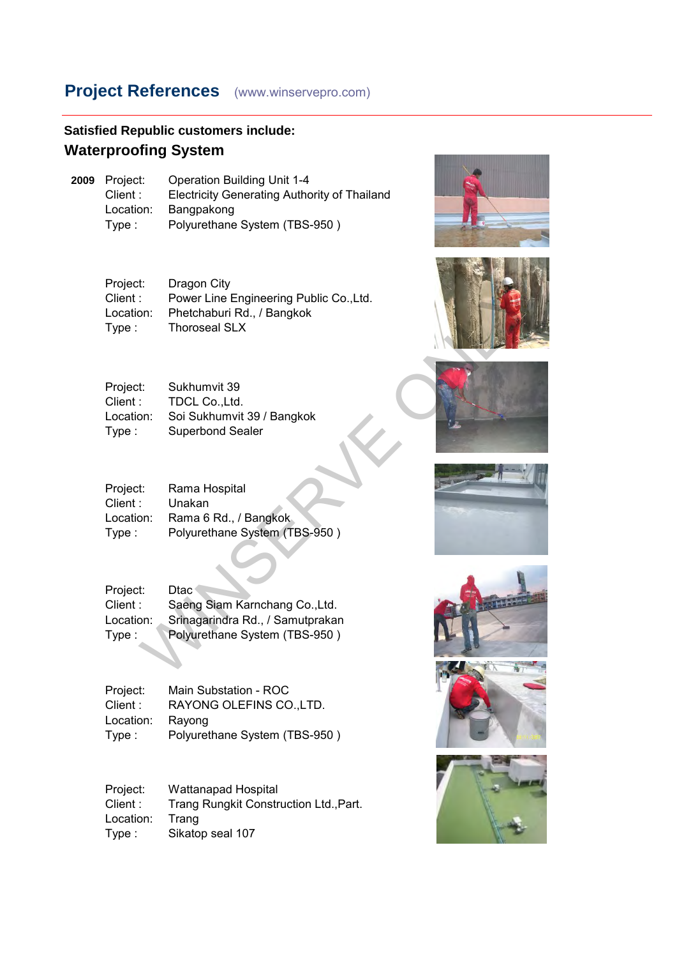## **Satisfied Republic customers include: Waterproofing System**

| 2009 Project: | <b>Operation Building Unit 1-4</b>                  |
|---------------|-----------------------------------------------------|
| Client :      | <b>Electricity Generating Authority of Thailand</b> |
| Location:     | Bangpakong                                          |
| Type:         | Polyurethane System (TBS-950)                       |

| Dragon City                             |
|-----------------------------------------|
| Power Line Engineering Public Co., Ltd. |
| Phetchaburi Rd., / Bangkok              |
| <b>Thoroseal SLX</b>                    |
|                                         |





| Project:<br>Client : | Sukhumvit 39<br>TDCL CoLtd. |  |
|----------------------|-----------------------------|--|
| Location:            | Soi Sukhumvit 39 / Bangkok  |  |
| Type:                | <b>Superbond Sealer</b>     |  |

| Project:  | Rama Hospital                 |
|-----------|-------------------------------|
| Client :  | Unakan                        |
| Location: | Rama 6 Rd., / Bangkok.        |
| Type :    | Polyurethane System (TBS-950) |
|           |                               |

| Project:<br>Client:<br>Location:<br>Type: | Dragon City<br>Power Line Engineering Public Co., Ltd.<br>Phetchaburi Rd., / Bangkok<br><b>Thoroseal SLX</b>       |  |
|-------------------------------------------|--------------------------------------------------------------------------------------------------------------------|--|
| Project:<br>Client:<br>Location:<br>Type: | Sukhumvit 39<br>TDCL Co., Ltd.<br>Soi Sukhumvit 39 / Bangkok<br><b>Superbond Sealer</b>                            |  |
| Project:<br>Client:<br>Location:<br>Type: | Rama Hospital<br>Unakan<br>Rama 6 Rd., / Bangkok<br>Polyurethane System (TBS-950)                                  |  |
| Project:<br>Client:<br>Location:<br>Type: | <b>Dtac</b><br>Saeng Siam Karnchang Co., Ltd.<br>Srinagarindra Rd., / Samutprakan<br>Polyurethane System (TBS-950) |  |

| Project:  | Main Substation - ROC         |
|-----------|-------------------------------|
| Client :  | RAYONG OLEFINS CO., LTD.      |
| Location: | Ravong                        |
| Type :    | Polyurethane System (TBS-950) |

Project: Wattanapad Hospital<br>Client: Trang Rungkit Constru Trang Rungkit Construction Ltd., Part. Location: Trang<br>Type: Sikato Sikatop seal 107





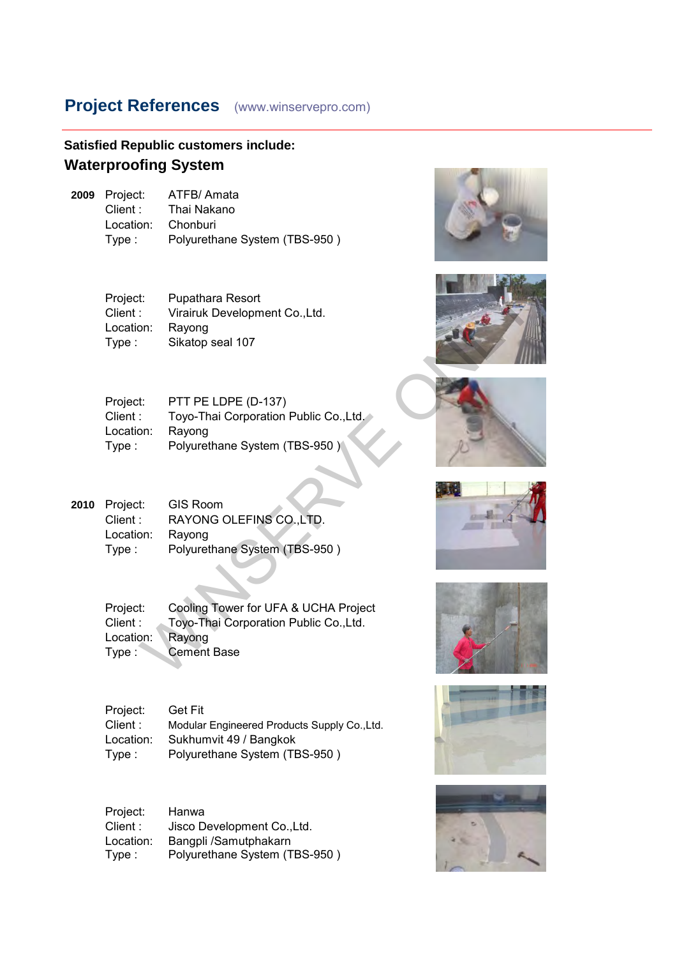#### **Satisfied Republic customers include: Waterproofing System**

**2009** Project: ATFB/ Amata<br>Client : Thai Nakano Thai Nakano Location: Chonburi Type : Polyurethane System (TBS-950 )







|      | Project:<br>Client:<br>Location:<br>Type: | Pupathara Resort<br>Virairuk Development Co., Ltd.<br>Rayong<br>Sikatop seal 107                               |  |
|------|-------------------------------------------|----------------------------------------------------------------------------------------------------------------|--|
|      | Project:<br>Client:<br>Location:<br>Type: | PTT PE LDPE (D-137)<br>Toyo-Thai Corporation Public Co., Ltd.<br>Rayong<br>Polyurethane System (TBS-950)       |  |
| 2010 | Project:<br>Client:<br>Location:<br>Type: | <b>GIS Room</b><br>RAYONG OLEFINS CO., LTD.<br>Rayong<br>Polyurethane System (TBS-950)                         |  |
|      | Project:<br>Client:<br>Location:<br>Type: | Cooling Tower for UFA & UCHA Project<br>Toyo-Thai Corporation Public Co., Ltd.<br>Rayong<br><b>Cement Base</b> |  |

Project: Get Fit Client : Modular Engineered Products Supply Co.,Ltd. Location: Sukhumvit 49 / Bangkok Type : Polyurethane System (TBS-950 )

| Project:  | Hanwa                         |
|-----------|-------------------------------|
| Client :  | Jisco Development Co., Ltd.   |
| Location: | Bangpli /Samutphakarn         |
| Type:     | Polyurethane System (TBS-950) |





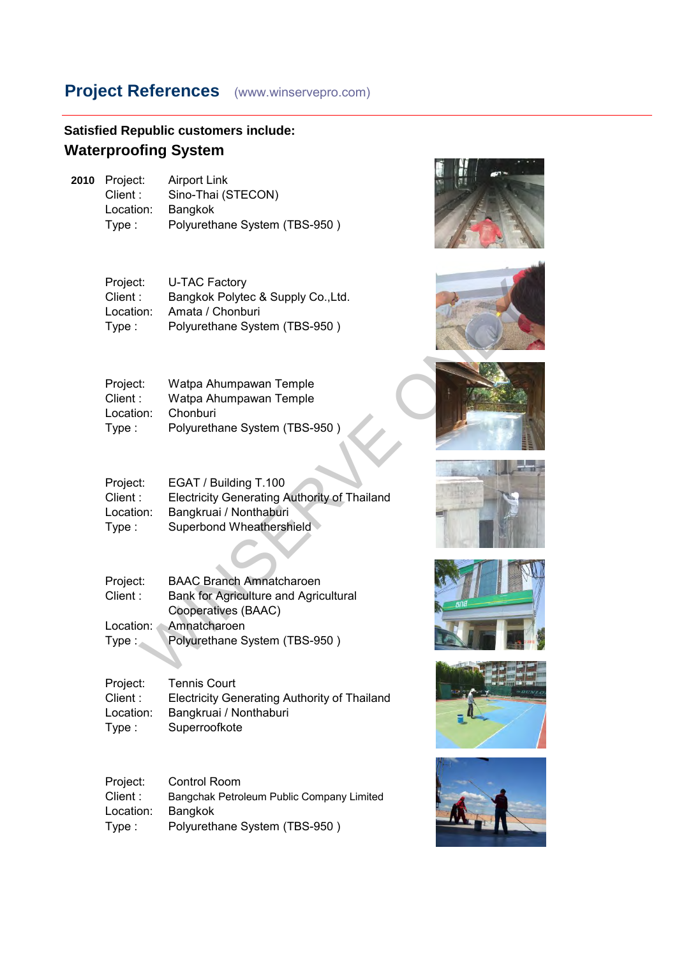**Satisfied Republic customers include: Waterproofing System**

**2010** Project: Airport Link<br>Client : Sino-Thai (S Sino-Thai (STECON)<br>Bangkok Location:<br>Type : Polyurethane System (TBS-950)

| Project:  | <b>U-TAC Factory</b>               |
|-----------|------------------------------------|
| Client :  | Bangkok Polytec & Supply Co., Ltd. |
| Location: | Amata / Chonburi                   |
| Type:     | Polyurethane System (TBS-950)      |





| Watpa Ahumpawan Temple        |  |
|-------------------------------|--|
| Watpa Ahumpawan Temple        |  |
| Chonburi                      |  |
| Polyurethane System (TBS-950) |  |
|                               |  |

| Project:  | EGAT / Building T.100                               |
|-----------|-----------------------------------------------------|
| Client :  | <b>Electricity Generating Authority of Thailand</b> |
| Location: | Bangkruai / Nonthaburi                              |
| Type:     | Superbond Wheathershield                            |

| Project:<br>Client:<br>Location:<br>Type: | U-TAC Factory<br>Bangkok Polytec & Supply Co., Ltd.<br>Amata / Chonburi<br>Polyurethane System (TBS-950)                                         |  |
|-------------------------------------------|--------------------------------------------------------------------------------------------------------------------------------------------------|--|
| Project:<br>Client:<br>Location:<br>Type: | Watpa Ahumpawan Temple<br>Watpa Ahumpawan Temple<br>Chonburi<br>Polyurethane System (TBS-950)                                                    |  |
| Project:<br>Client:<br>Location:<br>Type: | EGAT / Building T.100<br><b>Electricity Generating Authority of Thailand</b><br>Bangkruai / Nonthaburi<br>Superbond Wheathershield               |  |
| Project:<br>Client:<br>Location:<br>Type: | <b>BAAC Branch Amnatcharoen</b><br>Bank for Agriculture and Agricultural<br>Cooperatives (BAAC)<br>Amnatcharoen<br>Polyurethane System (TBS-950) |  |
|                                           |                                                                                                                                                  |  |

| <b>Electricity Generating Authority of Thailand</b> |
|-----------------------------------------------------|
|                                                     |
|                                                     |
|                                                     |

| Project:  | Control Room                              |
|-----------|-------------------------------------------|
| Client :  | Bangchak Petroleum Public Company Limited |
| Location: | <b>Bangkok</b>                            |
| Type:     | Polyurethane System (TBS-950)             |





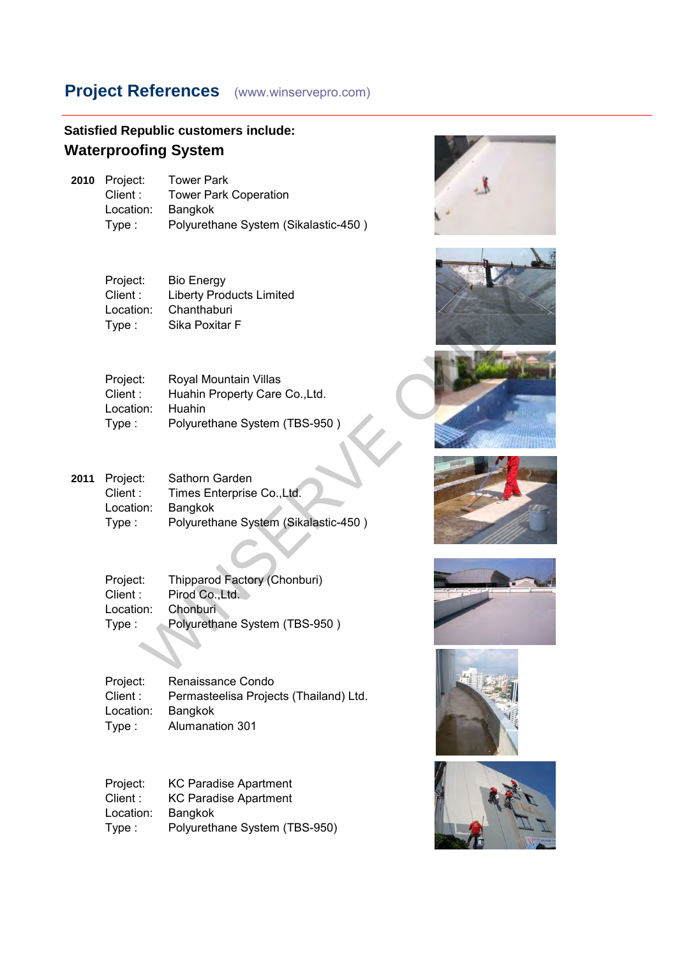| <b>Satisfied Republic customers include:</b> |
|----------------------------------------------|
| <b>Waterproofing System</b>                  |

| 2010 Project: | <b>Tower Park</b>                    |
|---------------|--------------------------------------|
| Client:       | <b>Tower Park Coperation</b>         |
| Location:     | Bangkok                              |
| Type :        | Polyurethane System (Sikalastic-450) |

| Project:  | <b>Bio Energy</b>               |
|-----------|---------------------------------|
| Client :  | <b>Liberty Products Limited</b> |
| Location: | Chanthaburi                     |
| Type:     | Sika Poxitar F                  |
|           |                                 |

| Project:  | Royal Mountain Villas          |
|-----------|--------------------------------|
| Client :  | Huahin Property Care Co., Ltd. |
| Location: | <b>Huahin</b>                  |
| Type :    | Polyurethane System (TBS-950)  |

|      | Project:<br>Client:<br>Location:<br>Type: | <b>BIO Energy</b><br><b>Liberty Products Limited</b><br>Chanthaburi<br>Sika Poxitar F              |  |
|------|-------------------------------------------|----------------------------------------------------------------------------------------------------|--|
|      | Project:<br>Client:<br>Location:<br>Type: | Royal Mountain Villas<br>Huahin Property Care Co., Ltd.<br>Huahin<br>Polyurethane System (TBS-950) |  |
| 2011 | Project:<br>Client:<br>Location:<br>Type: | Sathorn Garden<br>Times Enterprise Co., Ltd.<br>Bangkok<br>Polyurethane System (Sikalastic-450)    |  |
|      | Project:<br>Client:<br>Location:<br>Type: | Thipparod Factory (Chonburi)<br>Pirod Co., Ltd.<br>Chonburi<br>Polyurethane System (TBS-950)       |  |
|      |                                           |                                                                                                    |  |

| Project:  | Thipparod Factory (Chonburi)  |
|-----------|-------------------------------|
| Client :  | Pirod Co., Ltd.               |
| Location: | Chonburi                      |
| Type :    | Polyurethane System (TBS-950) |

Project: Renaissance Condo<br>Client: Permasteelisa Projec Permasteelisa Projects (Thailand) Ltd.<br>Bangkok Location: Type : Alumanation 301

| Project:  | <b>KC Paradise Apartment</b>  |
|-----------|-------------------------------|
| Client:   | <b>KC Paradise Apartment</b>  |
| Location: | Bangkok                       |
| Type:     | Polyurethane System (TBS-950) |













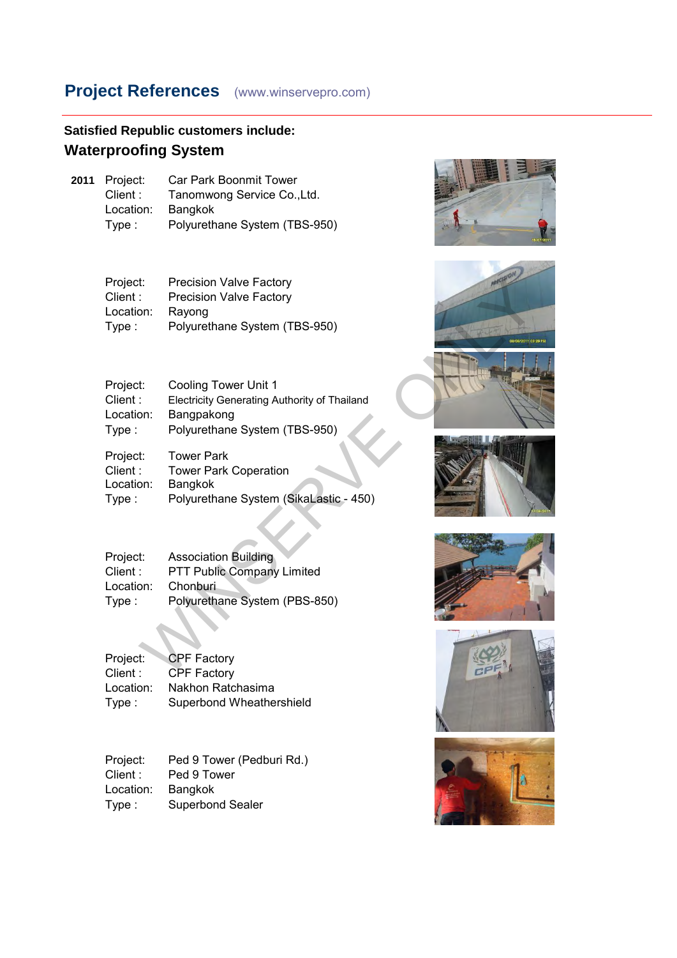## **Satisfied Republic customers include: Waterproofing System**

**2011** Project: Car Park Boonmit Tower<br>Client: Tanomwong Service Co.. Tanomwong Service Co.,Ltd.<br>Bangkok Location: Type : Polyurethane System (TBS-950)

| Project:  | <b>Precision Valve Factory</b> |
|-----------|--------------------------------|
| Client :  | <b>Precision Valve Factory</b> |
| Location: | Rayong                         |
| Type:     | Polyurethane System (TBS-950)  |
|           |                                |

| Project:<br>Client:<br>Location:<br>Type: | <b>Precision Valve Factory</b><br><b>Precision Valve Factory</b><br>Rayong<br>Polyurethane System (TBS-950)                |  |
|-------------------------------------------|----------------------------------------------------------------------------------------------------------------------------|--|
| Project:<br>Client:<br>Location:<br>Type: | <b>Cooling Tower Unit 1</b><br>Electricity Generating Authority of Thailand<br>Bangpakong<br>Polyurethane System (TBS-950) |  |
| Project:<br>Client:<br>Location:<br>Type: | <b>Tower Park</b><br><b>Tower Park Coperation</b><br>Bangkok<br>Polyurethane System (SikaLastic - 450)                     |  |
| Project:<br>Client:<br>Location:<br>Type: | <b>Association Building</b><br>PTT Public Company Limited<br>Chonburi<br>Polyurethane System (PBS-850)                     |  |
| Project:<br>Client:                       | <b>CPF Factory</b><br><b>CPF Factory</b>                                                                                   |  |

| Project:  | <b>Association Building</b>   |
|-----------|-------------------------------|
| Client:   | PTT Public Company Limited    |
| Location: | Chonburi                      |
| Type:     | Polyurethane System (PBS-850) |

| Project:  | <b>CPF Factory</b>       |
|-----------|--------------------------|
| Client:   | <b>CPF Factory</b>       |
| Location: | Nakhon Ratchasima        |
| Type:     | Superbond Wheathershield |

| Project:  | Ped 9 Tower (Pedburi Rd.) |
|-----------|---------------------------|
| Client :  | Ped 9 Tower               |
| Location: | Bangkok                   |
| Type:     | <b>Superbond Sealer</b>   |













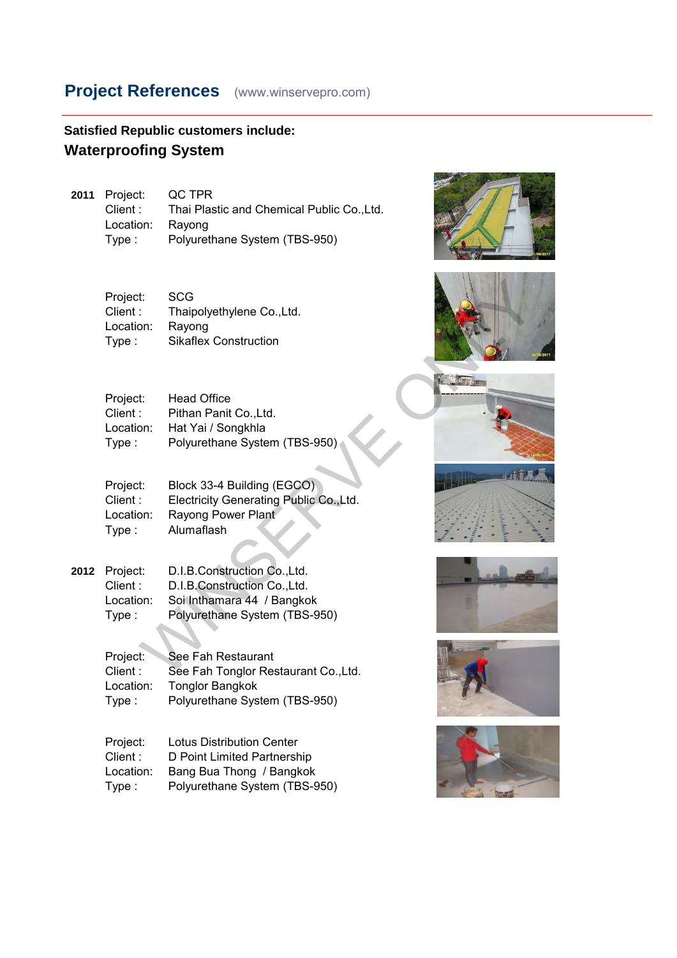#### **Satisfied Republic customers include: Waterproofing System**

**2011** Project: QC TPR Thai Plastic and Chemical Public Co.,Ltd. Location: Rayong Type : Polyurethane System (TBS-950)

| Project:  | <b>SCG</b>                   |
|-----------|------------------------------|
| Client :  | Thaipolyethylene Co., Ltd.   |
| Location: | Rayong                       |
| Type:     | <b>Sikaflex Construction</b> |

| Project:  | <b>Head Office</b>            |
|-----------|-------------------------------|
| Client :  | Pithan Panit Co., Ltd.        |
| Location: | Hat Yai / Songkhla            |
| Type :    | Polyurethane System (TBS-950) |
|           |                               |

| Project:<br>Client:<br>Location:<br>Type:  | <b>SCG</b><br>Thaipolyethylene Co., Ltd.<br>Rayong<br><b>Sikaflex Construction</b>                                          |  |
|--------------------------------------------|-----------------------------------------------------------------------------------------------------------------------------|--|
| Project:<br>Client:<br>Location:<br>Type:  | <b>Head Office</b><br>Pithan Panit Co., Ltd.<br>Hat Yai / Songkhla<br>Polyurethane System (TBS-950)                         |  |
| Project:<br>Client:<br>Location:<br>Type:  | Block 33-4 Building (EGCO)<br>Electricity Generating Public Co., Ltd.<br>Rayong Power Plant<br>Alumaflash                   |  |
| Project:<br>Client :<br>Location:<br>Type: | D.I.B.Construction Co., Ltd.<br>D.I.B.Construction Co., Ltd.<br>Soi Inthamara 44 / Bangkok<br>Polyurethane System (TBS-950) |  |
| Project:<br>Client:                        | See Fah Restaurant<br>See Fah Tonglor Restaurant Co., Ltd.                                                                  |  |

| 2012 Project: | D.I.B.Construction Co., Ltd.  |
|---------------|-------------------------------|
| Client:       | D.I.B.Construction Co., Ltd.  |
| Location:     | Soi Inthamara 44 / Bangkok    |
| Type:         | Polyurethane System (TBS-950) |

Project: See Fah Restaurant<br>Client: See Fah Tonglor Res See Fah Tonglor Restaurant Co.,Ltd. Location: Tonglor Bangkok Type : Polyurethane System (TBS-950)

Project: Lotus Distribution Center Client : D Point Limited Partnership Location: Bang Bua Thong / Bangkok Type : Polyurethane System (TBS-950)













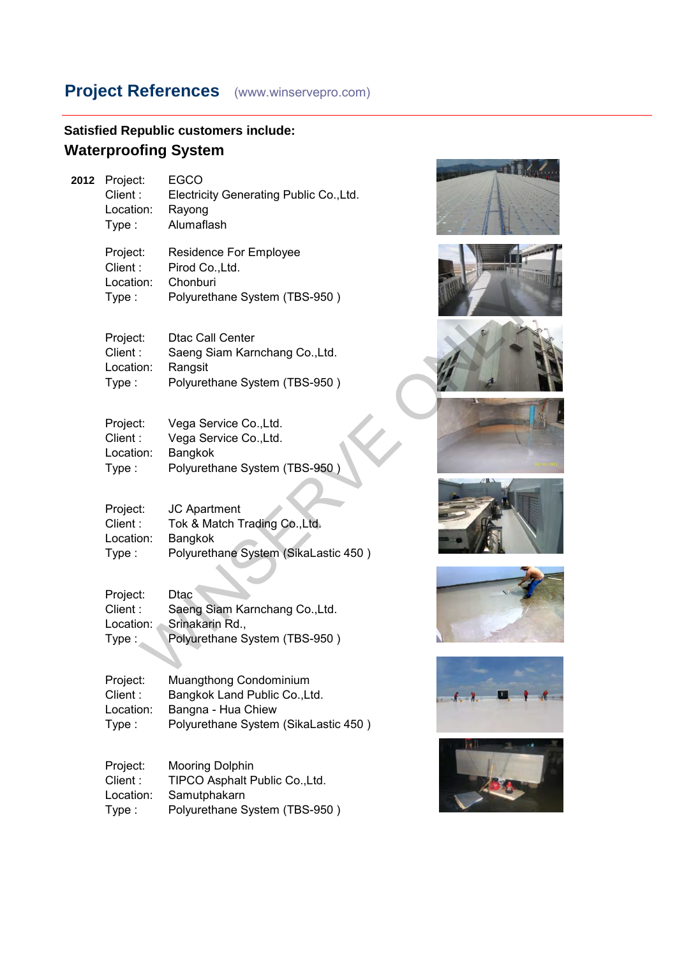# **Satisfied Republic customers include: Waterproofing System**

| 2012 | Project:<br>Client:<br>Location:<br>Type: | <b>EGCO</b><br>Electricity Generating Public Co., Ltd.<br>Rayong<br>Alumaflash                                        |                                                                                                                                                                                                                                                                                                                                    |
|------|-------------------------------------------|-----------------------------------------------------------------------------------------------------------------------|------------------------------------------------------------------------------------------------------------------------------------------------------------------------------------------------------------------------------------------------------------------------------------------------------------------------------------|
|      | Project:<br>Client:<br>Location:<br>Type: | Residence For Employee<br>Pirod Co., Ltd.<br>Chonburi<br>Polyurethane System (TBS-950)                                |                                                                                                                                                                                                                                                                                                                                    |
|      | Project:<br>Client:<br>Location:<br>Type: | <b>Dtac Call Center</b><br>Saeng Siam Karnchang Co., Ltd.<br>Rangsit<br>Polyurethane System (TBS-950)                 |                                                                                                                                                                                                                                                                                                                                    |
|      | Project:<br>Client:<br>Location:<br>Type: | Vega Service Co., Ltd.<br>Vega Service Co., Ltd.<br>Bangkok<br>Polyurethane System (TBS-950)                          |                                                                                                                                                                                                                                                                                                                                    |
|      | Project:<br>Client:<br>Location:<br>Type: | JC Apartment<br>Tok & Match Trading Co., Ltd.<br>Bangkok<br>Polyurethane System (SikaLastic 450)                      |                                                                                                                                                                                                                                                                                                                                    |
|      | Project:<br>Client:<br>Location:<br>Type: | <b>Dtac</b><br>Saeng Siam Karnchang Co., Ltd.<br>Srinakarin Rd.,<br>Polyurethane System (TBS-950)                     |                                                                                                                                                                                                                                                                                                                                    |
|      | Project:<br>Client:<br>Location:<br>Type: | Muangthong Condominium<br>Bangkok Land Public Co., Ltd.<br>Bangna - Hua Chiew<br>Polyurethane System (SikaLastic 450) | $\mathbf{A}$ $\mathbf{A}$ $\mathbf{A}$ $\mathbf{A}$ $\mathbf{A}$ $\mathbf{A}$ $\mathbf{A}$ $\mathbf{A}$ $\mathbf{A}$ $\mathbf{A}$ $\mathbf{A}$ $\mathbf{A}$ $\mathbf{A}$ $\mathbf{A}$ $\mathbf{A}$ $\mathbf{A}$ $\mathbf{A}$ $\mathbf{A}$ $\mathbf{A}$ $\mathbf{A}$ $\mathbf{A}$ $\mathbf{A}$ $\mathbf{A}$ $\mathbf{A}$ $\mathbf{$ |
|      | Project:<br>Client:<br>Location:<br>Type: | <b>Mooring Dolphin</b><br>TIPCO Asphalt Public Co., Ltd.<br>Samutphakarn<br>Polyurethane System (TBS-950)             |                                                                                                                                                                                                                                                                                                                                    |